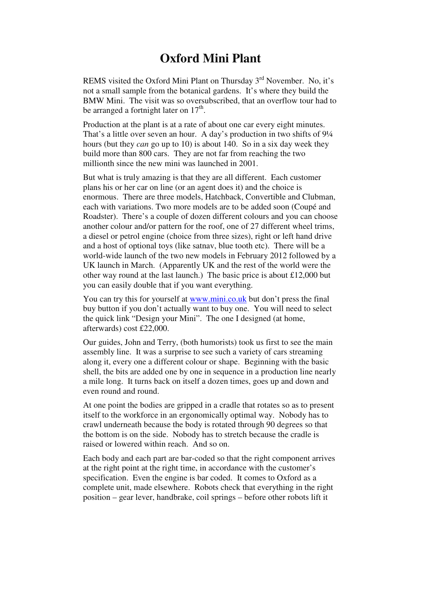## **Oxford Mini Plant**

REMS visited the Oxford Mini Plant on Thursday  $3<sup>rd</sup>$  November. No, it's not a small sample from the botanical gardens. It's where they build the BMW Mini. The visit was so oversubscribed, that an overflow tour had to be arranged a fortnight later on  $17<sup>th</sup>$ .

Production at the plant is at a rate of about one car every eight minutes. That's a little over seven an hour. A day's production in two shifts of 9¼ hours (but they *can* go up to 10) is about 140. So in a six day week they build more than 800 cars. They are not far from reaching the two millionth since the new mini was launched in 2001.

But what is truly amazing is that they are all different. Each customer plans his or her car on line (or an agent does it) and the choice is enormous. There are three models, Hatchback, Convertible and Clubman, each with variations. Two more models are to be added soon (Coupé and Roadster). There's a couple of dozen different colours and you can choose another colour and/or pattern for the roof, one of 27 different wheel trims, a diesel or petrol engine (choice from three sizes), right or left hand drive and a host of optional toys (like satnav, blue tooth etc). There will be a world-wide launch of the two new models in February 2012 followed by a UK launch in March. (Apparently UK and the rest of the world were the other way round at the last launch.) The basic price is about £12,000 but you can easily double that if you want everything.

You can try this for yourself at www.mini.co.uk but don't press the final buy button if you don't actually want to buy one. You will need to select the quick link "Design your Mini". The one I designed (at home, afterwards) cost £22,000.

Our guides, John and Terry, (both humorists) took us first to see the main assembly line. It was a surprise to see such a variety of cars streaming along it, every one a different colour or shape. Beginning with the basic shell, the bits are added one by one in sequence in a production line nearly a mile long. It turns back on itself a dozen times, goes up and down and even round and round.

At one point the bodies are gripped in a cradle that rotates so as to present itself to the workforce in an ergonomically optimal way. Nobody has to crawl underneath because the body is rotated through 90 degrees so that the bottom is on the side. Nobody has to stretch because the cradle is raised or lowered within reach. And so on.

Each body and each part are bar-coded so that the right component arrives at the right point at the right time, in accordance with the customer's specification. Even the engine is bar coded. It comes to Oxford as a complete unit, made elsewhere. Robots check that everything in the right position – gear lever, handbrake, coil springs – before other robots lift it